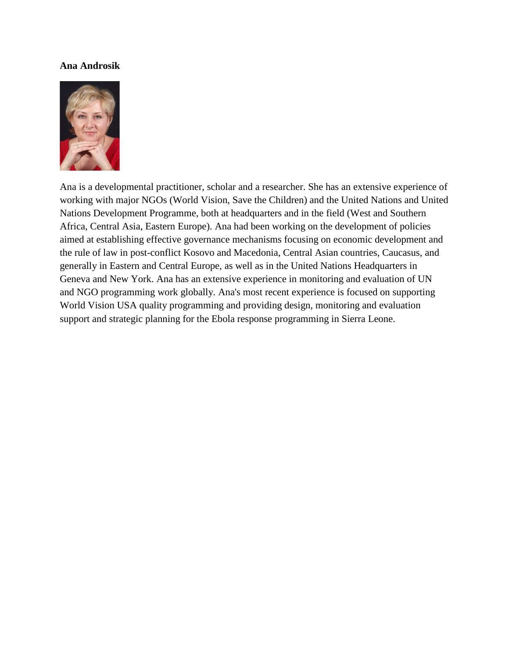#### **Ana Androsik**



Ana is a developmental practitioner, scholar and a researcher. She has an extensive experience of working with major NGOs (World Vision, Save the Children) and the United Nations and United Nations Development Programme, both at headquarters and in the field (West and Southern Africa, Central Asia, Eastern Europe). Ana had been working on the development of policies aimed at establishing effective governance mechanisms focusing on economic development and the rule of law in post-conflict Kosovo and Macedonia, Central Asian countries, Caucasus, and generally in Eastern and Central Europe, as well as in the United Nations Headquarters in Geneva and New York. Ana has an extensive experience in monitoring and evaluation of UN and NGO programming work globally. Ana's most recent experience is focused on supporting World Vision USA quality programming and providing design, monitoring and evaluation support and strategic planning for the Ebola response programming in Sierra Leone.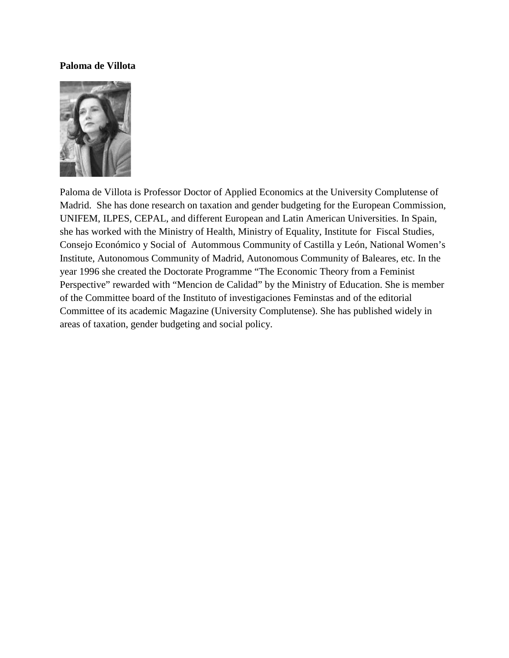## **Paloma de Villota**



Paloma de Villota is Professor Doctor of Applied Economics at the University Complutense of Madrid. She has done research on taxation and gender budgeting for the European Commission, UNIFEM, ILPES, CEPAL, and different European and Latin American Universities. In Spain, she has worked with the Ministry of Health, Ministry of Equality, Institute for Fiscal Studies, Consejo Económico y Social of Autommous Community of Castilla y León, National Women's Institute, Autonomous Community of Madrid, Autonomous Community of Baleares, etc. In the year 1996 she created the Doctorate Programme "The Economic Theory from a Feminist Perspective" rewarded with "Mencion de Calidad" by the Ministry of Education. She is member of the Committee board of the Instituto of investigaciones Feminstas and of the editorial Committee of its academic Magazine (University Complutense). She has published widely in areas of taxation, gender budgeting and social policy.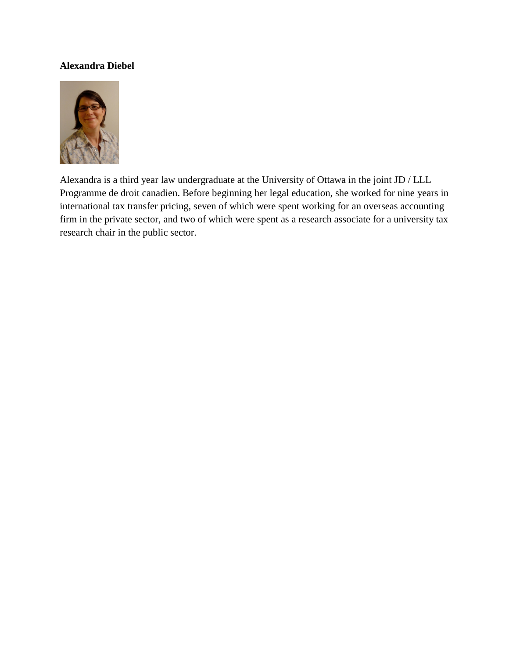# **Alexandra Diebel**



Alexandra is a third year law undergraduate at the University of Ottawa in the joint JD / LLL Programme de droit canadien. Before beginning her legal education, she worked for nine years in international tax transfer pricing, seven of which were spent working for an overseas accounting firm in the private sector, and two of which were spent as a research associate for a university tax research chair in the public sector.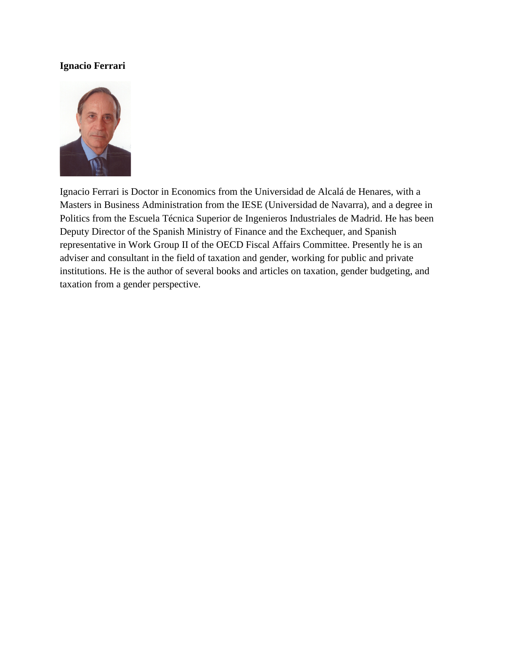# **Ignacio Ferrari**



Ignacio Ferrari is Doctor in Economics from the Universidad de Alcalá de Henares, with a Masters in Business Administration from the IESE (Universidad de Navarra), and a degree in Politics from the Escuela Técnica Superior de Ingenieros Industriales de Madrid. He has been Deputy Director of the Spanish Ministry of Finance and the Exchequer, and Spanish representative in Work Group II of the OECD Fiscal Affairs Committee. Presently he is an adviser and consultant in the field of taxation and gender, working for public and private institutions. He is the author of several books and articles on taxation, gender budgeting, and taxation from a gender perspective.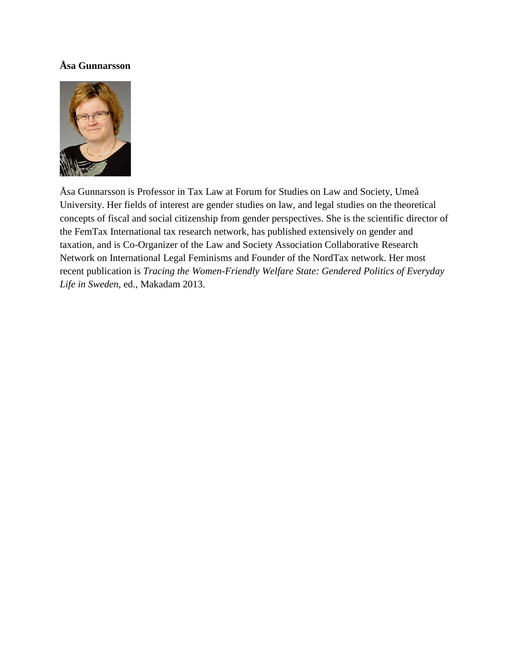# **Åsa Gunnarsson**



Åsa Gunnarsson is Professor in Tax Law at Forum for Studies on Law and Society, Umeå University. Her fields of interest are gender studies on law, and legal studies on the theoretical concepts of fiscal and social citizenship from gender perspectives. She is the scientific director of the FemTax International tax research network, has published extensively on gender and taxation, and is Co-Organizer of the Law and Society Association Collaborative Research Network on International Legal Feminisms and Founder of the NordTax network. Her most recent publication is *Tracing the Women-Friendly Welfare State: Gendered Politics of Everyday Life in Sweden*, ed., Makadam 2013.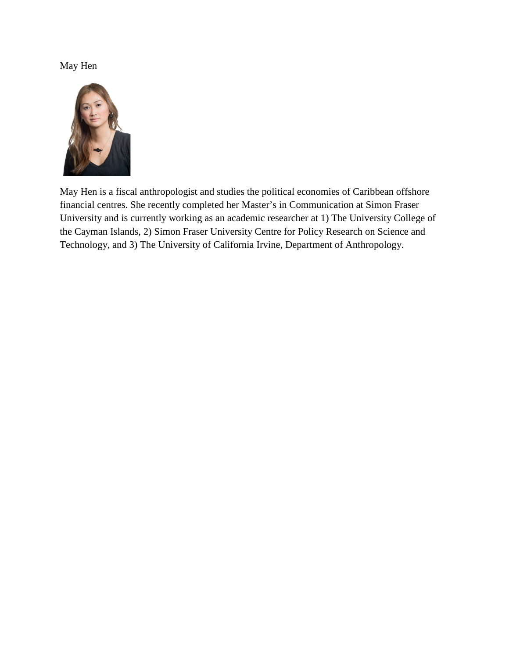# May Hen



May Hen is a fiscal anthropologist and studies the political economies of Caribbean offshore financial centres. She recently completed her Master's in Communication at Simon Fraser University and is currently working as an academic researcher at 1) The University College of the Cayman Islands, 2) Simon Fraser University Centre for Policy Research on Science and Technology, and 3) The University of California Irvine, Department of Anthropology.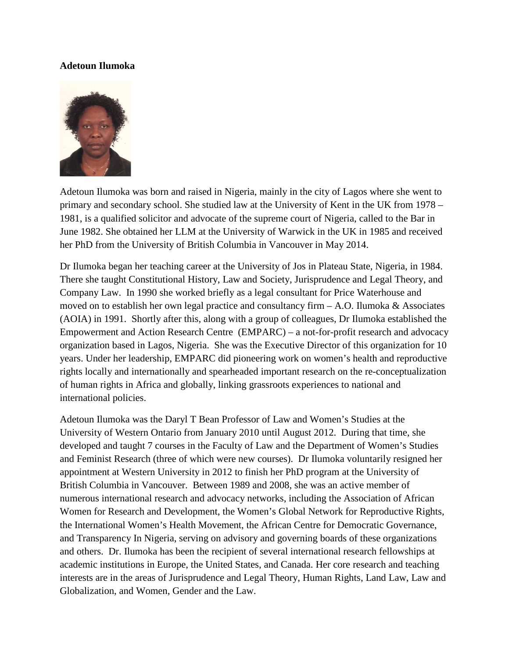# **Adetoun Ilumoka**



Adetoun Ilumoka was born and raised in Nigeria, mainly in the city of Lagos where she went to primary and secondary school. She studied law at the University of Kent in the UK from 1978 – 1981, is a qualified solicitor and advocate of the supreme court of Nigeria, called to the Bar in June 1982. She obtained her LLM at the University of Warwick in the UK in 1985 and received her PhD from the University of British Columbia in Vancouver in May 2014.

Dr Ilumoka began her teaching career at the University of Jos in Plateau State, Nigeria, in 1984. There she taught Constitutional History, Law and Society, Jurisprudence and Legal Theory, and Company Law. In 1990 she worked briefly as a legal consultant for Price Waterhouse and moved on to establish her own legal practice and consultancy firm  $- A. O.$  Ilumoka & Associates (AOIA) in 1991. Shortly after this, along with a group of colleagues, Dr Ilumoka established the Empowerment and Action Research Centre (EMPARC) – a not-for-profit research and advocacy organization based in Lagos, Nigeria. She was the Executive Director of this organization for 10 years. Under her leadership, EMPARC did pioneering work on women's health and reproductive rights locally and internationally and spearheaded important research on the re-conceptualization of human rights in Africa and globally, linking grassroots experiences to national and international policies.

Adetoun Ilumoka was the Daryl T Bean Professor of Law and Women's Studies at the University of Western Ontario from January 2010 until August 2012. During that time, she developed and taught 7 courses in the Faculty of Law and the Department of Women's Studies and Feminist Research (three of which were new courses). Dr Ilumoka voluntarily resigned her appointment at Western University in 2012 to finish her PhD program at the University of British Columbia in Vancouver. Between 1989 and 2008, she was an active member of numerous international research and advocacy networks, including the Association of African Women for Research and Development, the Women's Global Network for Reproductive Rights, the International Women's Health Movement, the African Centre for Democratic Governance, and Transparency In Nigeria, serving on advisory and governing boards of these organizations and others. Dr. Ilumoka has been the recipient of several international research fellowships at academic institutions in Europe, the United States, and Canada. Her core research and teaching interests are in the areas of Jurisprudence and Legal Theory, Human Rights, Land Law, Law and Globalization, and Women, Gender and the Law.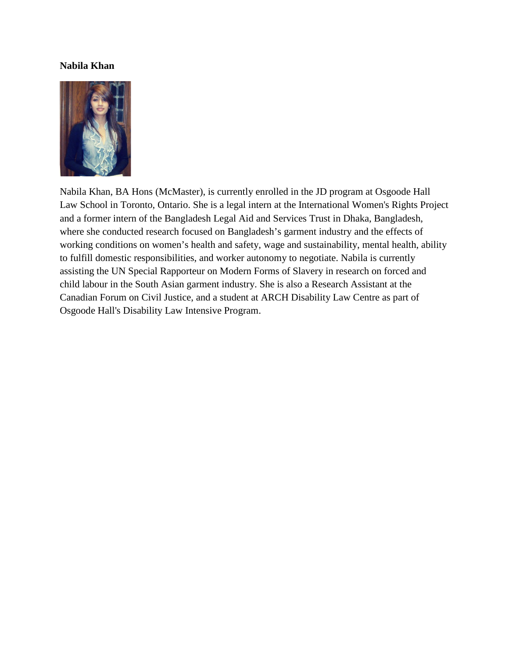#### **Nabila Khan**



Nabila Khan, BA Hons (McMaster), is currently enrolled in the JD program at Osgoode Hall Law School in Toronto, Ontario. She is a legal intern at the International Women's Rights Project and a former intern of the Bangladesh Legal Aid and Services Trust in Dhaka, Bangladesh, where she conducted research focused on Bangladesh's garment industry and the effects of working conditions on women's health and safety, wage and sustainability, mental health, ability to fulfill domestic responsibilities, and worker autonomy to negotiate. Nabila is currently assisting the UN Special Rapporteur on Modern Forms of Slavery in research on forced and child labour in the South Asian garment industry. She is also a Research Assistant at the Canadian Forum on Civil Justice, and a student at ARCH Disability Law Centre as part of Osgoode Hall's Disability Law Intensive Program.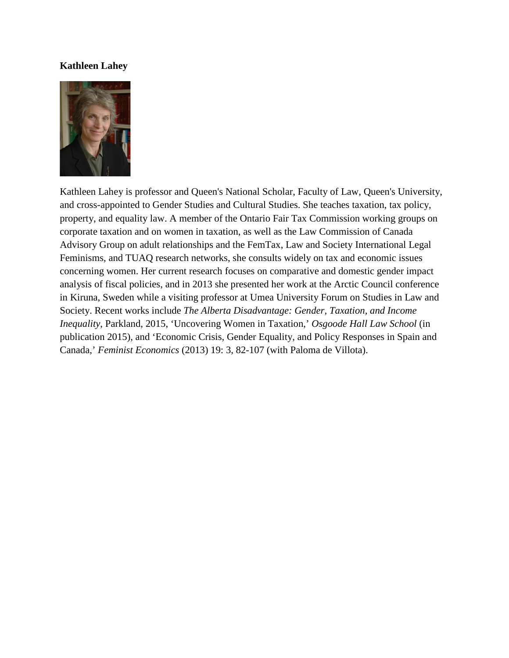## **Kathleen Lahey**



Kathleen Lahey is professor and Queen's National Scholar, Faculty of Law, Queen's University, and cross-appointed to Gender Studies and Cultural Studies. She teaches taxation, tax policy, property, and equality law. A member of the Ontario Fair Tax Commission working groups on corporate taxation and on women in taxation, as well as the Law Commission of Canada Advisory Group on adult relationships and the FemTax, Law and Society International Legal Feminisms, and TUAQ research networks, she consults widely on tax and economic issues concerning women. Her current research focuses on comparative and domestic gender impact analysis of fiscal policies, and in 2013 she presented her work at the Arctic Council conference in Kiruna, Sweden while a visiting professor at Umea University Forum on Studies in Law and Society. Recent works include *The Alberta Disadvantage: Gender, Taxation, and Income Inequality*, Parkland, 2015, 'Uncovering Women in Taxation,' *Osgoode Hall Law School* (in publication 2015), and 'Economic Crisis, Gender Equality, and Policy Responses in Spain and Canada,' *Feminist Economics* (2013) 19: 3, 82-107 (with Paloma de Villota).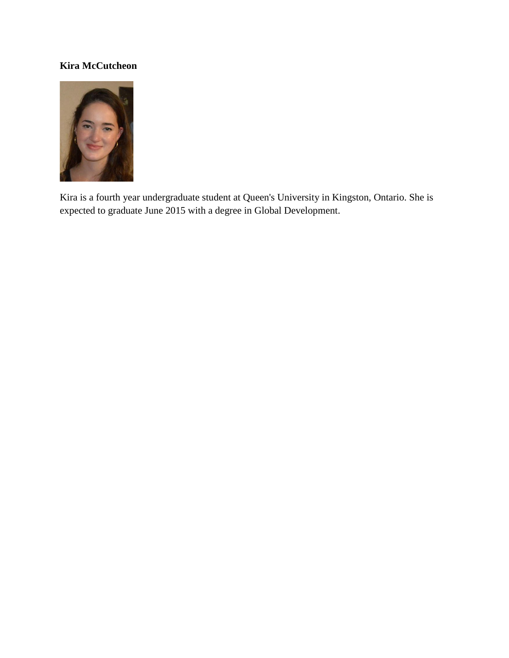# **Kira McCutcheon**



Kira is a fourth year undergraduate student at Queen's University in Kingston, Ontario. She is expected to graduate June 2015 with a degree in Global Development.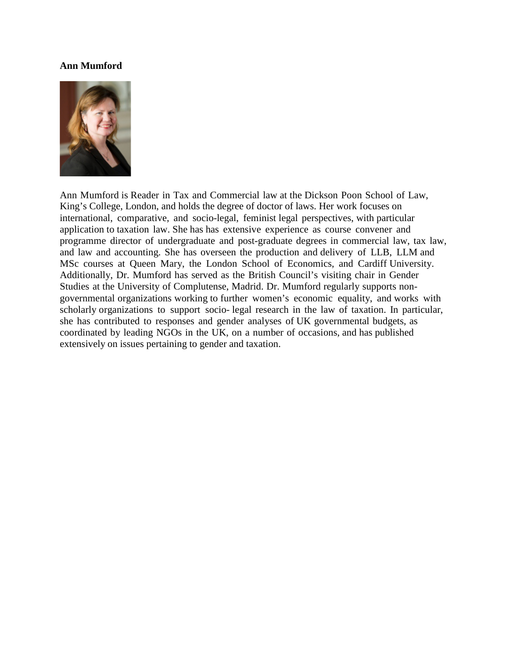#### **Ann Mumford**



Ann Mumford is Reader in Tax and Commercial law at the Dickson Poon School of Law, King's College, London, and holds the degree of doctor of laws. Her work focuses on international, comparative, and socio-legal, feminist legal perspectives, with particular application to taxation law. She has has extensive experience as course convener and programme director of undergraduate and post-graduate degrees in commercial law, tax law, and law and accounting. She has overseen the production and delivery of LLB, LLM and MSc courses at Queen Mary, the London School of Economics, and Cardiff University. Additionally, Dr. Mumford has served as the British Council's visiting chair in Gender Studies at the University of Complutense, Madrid. Dr. Mumford regularly supports nongovernmental organizations working to further women's economic equality, and works with scholarly organizations to support socio- legal research in the law of taxation. In particular, she has contributed to responses and gender analyses of UK governmental budgets, as coordinated by leading NGOs in the UK, on a number of occasions, and has published extensively on issues pertaining to gender and taxation.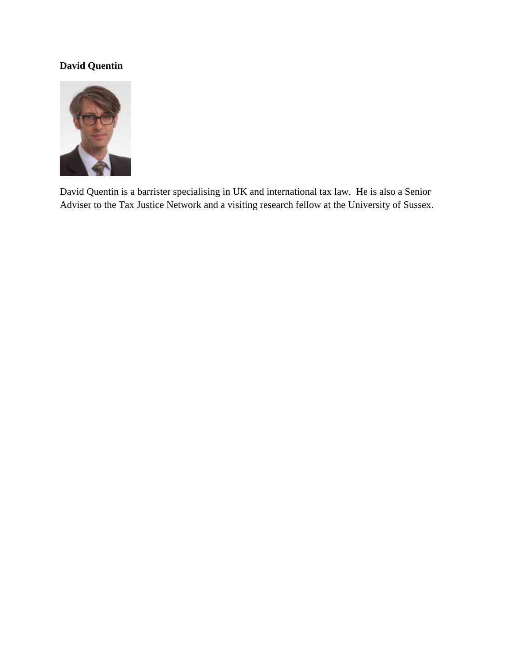# **David Quentin**



David Quentin is a barrister specialising in UK and international tax law. He is also a Senior Adviser to the Tax Justice Network and a visiting research fellow at the University of Sussex.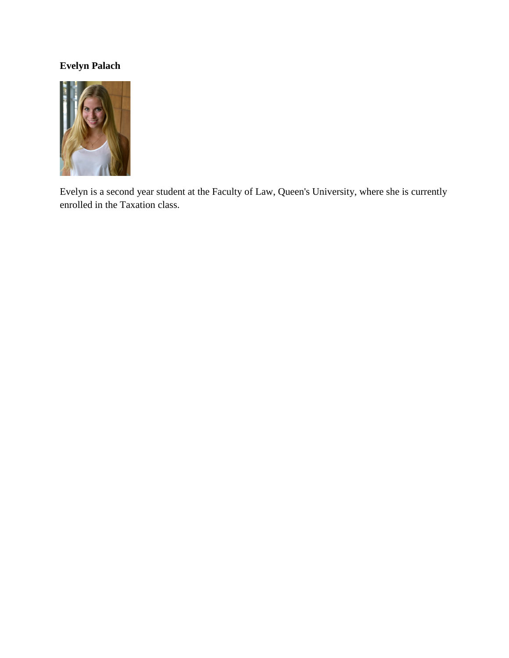# **Evelyn Palach**



Evelyn is a second year student at the Faculty of Law, Queen's University, where she is currently enrolled in the Taxation class.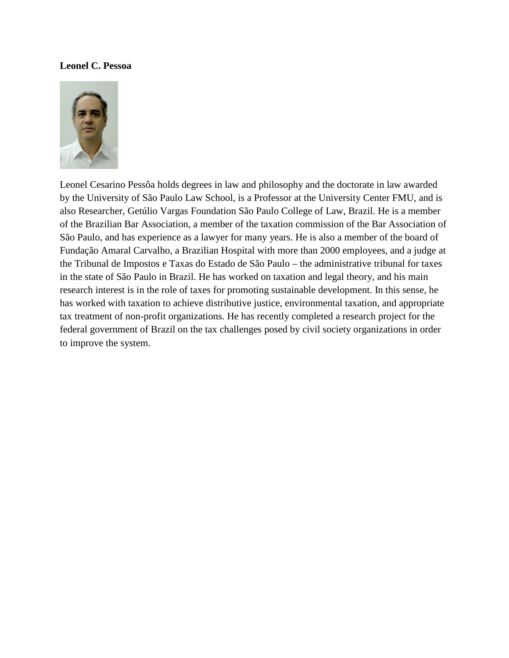#### **Leonel C. Pessoa**



Leonel Cesarino Pessôa holds degrees in law and philosophy and the doctorate in law awarded by the University of São Paulo Law School, is a Professor at the University Center FMU, and is also Researcher, Getúlio Vargas Foundation São Paulo College of Law, Brazil. He is a member of the Brazilian Bar Association, a member of the taxation commission of the Bar Association of São Paulo, and has experience as a lawyer for many years. He is also a member of the board of Fundação Amaral Carvalho, a Brazilian Hospital with more than 2000 employees, and a judge at the Tribunal de Impostos e Taxas do Estado de São Paulo – the administrative tribunal for taxes in the state of São Paulo in Brazil. He has worked on taxation and legal theory, and his main research interest is in the role of taxes for promoting sustainable development. In this sense, he has worked with taxation to achieve distributive justice, environmental taxation, and appropriate tax treatment of non-profit organizations. He has recently completed a research project for the federal government of Brazil on the tax challenges posed by civil society organizations in order to improve the system.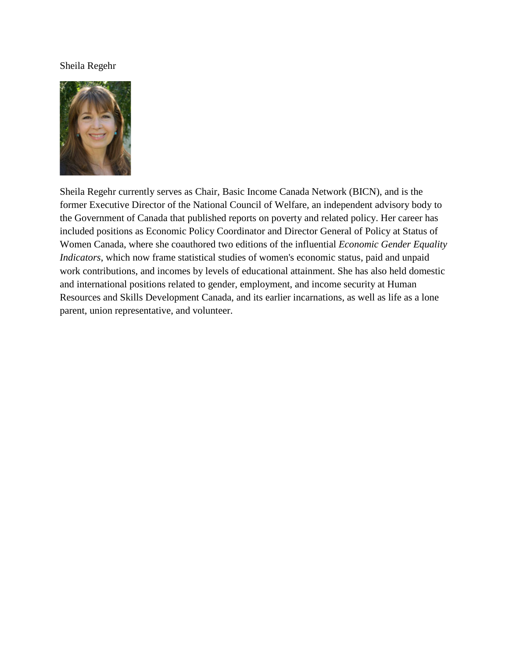## Sheila Regehr



Sheila Regehr currently serves as Chair, Basic Income Canada Network (BICN), and is the former Executive Director of the National Council of Welfare, an independent advisory body to the Government of Canada that published reports on poverty and related policy. Her career has included positions as Economic Policy Coordinator and Director General of Policy at Status of Women Canada, where she coauthored two editions of the influential *Economic Gender Equality Indicators*, which now frame statistical studies of women's economic status, paid and unpaid work contributions, and incomes by levels of educational attainment. She has also held domestic and international positions related to gender, employment, and income security at Human Resources and Skills Development Canada, and its earlier incarnations, as well as life as a lone parent, union representative, and volunteer.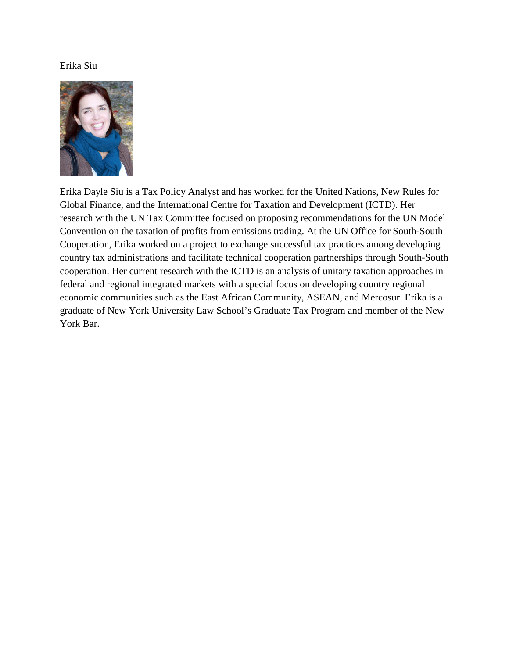## Erika Siu



Erika Dayle Siu is a Tax Policy Analyst and has worked for the United Nations, New Rules for Global Finance, and the International Centre for Taxation and Development (ICTD). Her research with the UN Tax Committee focused on proposing recommendations for the UN Model Convention on the taxation of profits from emissions trading. At the UN Office for South-South Cooperation, Erika worked on a project to exchange successful tax practices among developing country tax administrations and facilitate technical cooperation partnerships through South-South cooperation. Her current research with the ICTD is an analysis of unitary taxation approaches in federal and regional integrated markets with a special focus on developing country regional economic communities such as the East African Community, ASEAN, and Mercosur. Erika is a graduate of New York University Law School's Graduate Tax Program and member of the New York Bar.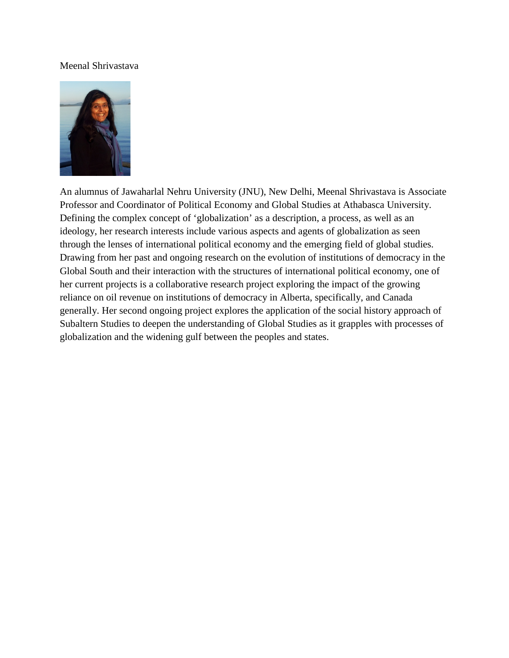## Meenal Shrivastava



An alumnus of Jawaharlal Nehru University (JNU), New Delhi, Meenal Shrivastava is Associate Professor and Coordinator of Political Economy and Global Studies at Athabasca University. Defining the complex concept of 'globalization' as a description, a process, as well as an ideology, her research interests include various aspects and agents of globalization as seen through the lenses of international political economy and the emerging field of global studies. Drawing from her past and ongoing research on the evolution of institutions of democracy in the Global South and their interaction with the structures of international political economy, one of her current projects is a collaborative research project exploring the impact of the growing reliance on oil revenue on institutions of democracy in Alberta, specifically, and Canada generally. Her second ongoing project explores the application of the social history approach of Subaltern Studies to deepen the understanding of Global Studies as it grapples with processes of globalization and the widening gulf between the peoples and states.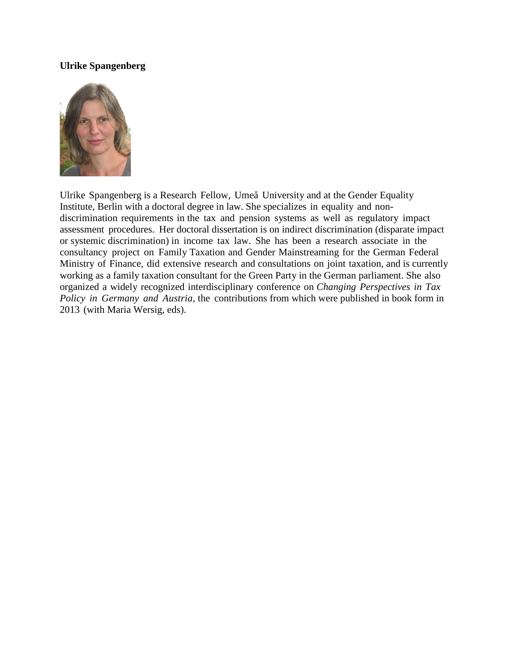## **Ulrike Spangenberg**



Ulrike Spangenberg is a Research Fellow, Umeå University and at the Gender Equality Institute, Berlin with a doctoral degree in law. She specializes in equality and nondiscrimination requirements in the tax and pension systems as well as regulatory impact assessment procedures. Her doctoral dissertation is on indirect discrimination (disparate impact or systemic discrimination) in income tax law. She has been a research associate in the consultancy project on Family Taxation and Gender Mainstreaming for the German Federal Ministry of Finance, did extensive research and consultations on joint taxation, and is currently working as a family taxation consultant for the Green Party in the German parliament. She also organized a widely recognized interdisciplinary conference on *Changing Perspectives in Tax Policy in Germany and Austria*, the contributions from which were published in book form in 2013 (with Maria Wersig, eds).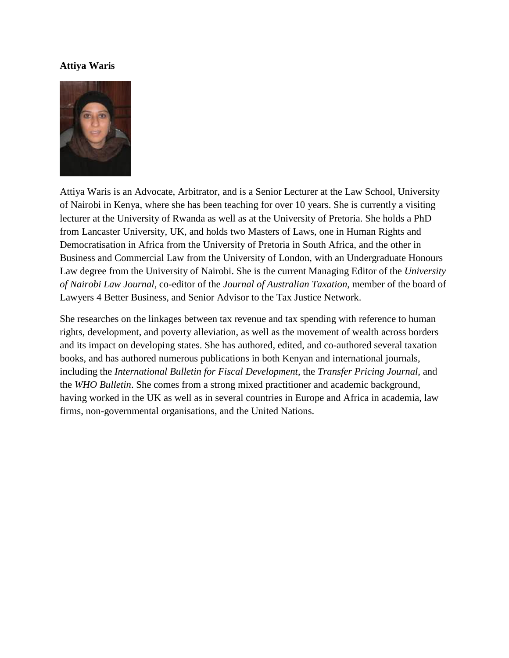#### **Attiya Waris**



Attiya Waris is an Advocate, Arbitrator, and is a Senior Lecturer at the Law School, University of Nairobi in Kenya, where she has been teaching for over 10 years. She is currently a visiting lecturer at the University of Rwanda as well as at the University of Pretoria. She holds a PhD from Lancaster University, UK, and holds two Masters of Laws, one in Human Rights and Democratisation in Africa from the University of Pretoria in South Africa, and the other in Business and Commercial Law from the University of London, with an Undergraduate Honours Law degree from the University of Nairobi. She is the current Managing Editor of the *University of Nairobi Law Journal*, co-editor of the *Journal of Australian Taxation*, member of the board of Lawyers 4 Better Business, and Senior Advisor to the Tax Justice Network.

She researches on the linkages between tax revenue and tax spending with reference to human rights, development, and poverty alleviation, as well as the movement of wealth across borders and its impact on developing states. She has authored, edited, and co-authored several taxation books, and has authored numerous publications in both Kenyan and international journals, including the *International Bulletin for Fiscal Development*, the *Transfer Pricing Journal*, and the *WHO Bulletin*. She comes from a strong mixed practitioner and academic background, having worked in the UK as well as in several countries in Europe and Africa in academia, law firms, non-governmental organisations, and the United Nations.